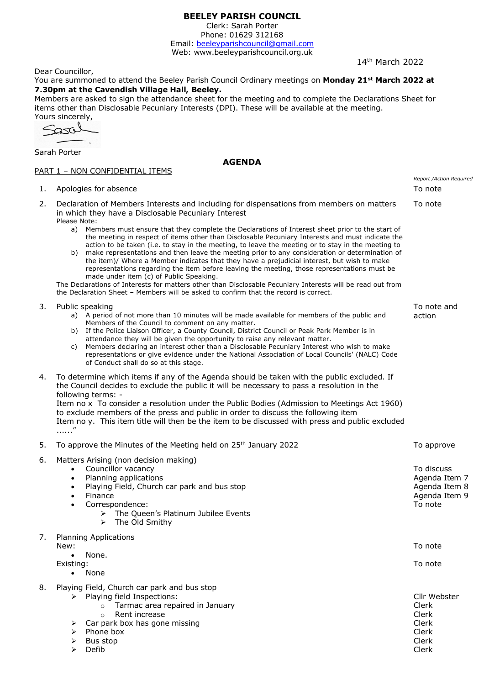# **BEELEY PARISH COUNCIL**

Clerk: Sarah Porter Phone: 01629 312168

Email: beeleyparishcouncil@gmail.com Web: <www.beeleyparishcouncil.org.uk>

14th March 2022

Dear Councillor,

You are summoned to attend the Beeley Parish Council Ordinary meetings on **Monday 21st March 2022 at 7.30pm at the Cavendish Village Hall, Beeley.**

Members are asked to sign the attendance sheet for the meeting and to complete the Declarations Sheet for items other than Disclosable Pecuniary Interests (DPI). These will be available at the meeting.

**AGENDA**

Yours sincerely,  $\overline{\phantom{0}}$ 

Sarah Porter

### PART 1 - NON CONFIDENTIAL ITEMS

|    | <u> PART I - NUN CUNFIDENTIAL ITEMS</u>                                                                                                                                                                                                                                                                                                                                                                                                                                                                                                                                                                                                                                                                                                                                                                                                                                                                                                                                                                                                 |                                                                          |
|----|-----------------------------------------------------------------------------------------------------------------------------------------------------------------------------------------------------------------------------------------------------------------------------------------------------------------------------------------------------------------------------------------------------------------------------------------------------------------------------------------------------------------------------------------------------------------------------------------------------------------------------------------------------------------------------------------------------------------------------------------------------------------------------------------------------------------------------------------------------------------------------------------------------------------------------------------------------------------------------------------------------------------------------------------|--------------------------------------------------------------------------|
| 1. | Apologies for absence                                                                                                                                                                                                                                                                                                                                                                                                                                                                                                                                                                                                                                                                                                                                                                                                                                                                                                                                                                                                                   | Report /Action Required<br>To note                                       |
| 2. | Declaration of Members Interests and including for dispensations from members on matters<br>in which they have a Disclosable Pecuniary Interest<br>Please Note:<br>a) Members must ensure that they complete the Declarations of Interest sheet prior to the start of<br>the meeting in respect of items other than Disclosable Pecuniary Interests and must indicate the<br>action to be taken (i.e. to stay in the meeting, to leave the meeting or to stay in the meeting to<br>make representations and then leave the meeting prior to any consideration or determination of<br>b)<br>the item)/ Where a Member indicates that they have a prejudicial interest, but wish to make<br>representations regarding the item before leaving the meeting, those representations must be<br>made under item (c) of Public Speaking.<br>The Declarations of Interests for matters other than Disclosable Pecuniary Interests will be read out from<br>the Declaration Sheet - Members will be asked to confirm that the record is correct. | To note                                                                  |
| 3. | Public speaking<br>a) A period of not more than 10 minutes will be made available for members of the public and<br>Members of the Council to comment on any matter.<br>If the Police Liaison Officer, a County Council, District Council or Peak Park Member is in<br>b)<br>attendance they will be given the opportunity to raise any relevant matter.<br>Members declaring an interest other than a Disclosable Pecuniary Interest who wish to make<br>C)<br>representations or give evidence under the National Association of Local Councils' (NALC) Code<br>of Conduct shall do so at this stage.                                                                                                                                                                                                                                                                                                                                                                                                                                  | To note and<br>action                                                    |
| 4. | To determine which items if any of the Agenda should be taken with the public excluded. If<br>the Council decides to exclude the public it will be necessary to pass a resolution in the<br>following terms: -<br>Item no x To consider a resolution under the Public Bodies (Admission to Meetings Act 1960)<br>to exclude members of the press and public in order to discuss the following item<br>Item no y. This item title will then be the item to be discussed with press and public excluded<br>. "                                                                                                                                                                                                                                                                                                                                                                                                                                                                                                                            |                                                                          |
| 5. | To approve the Minutes of the Meeting held on 25 <sup>th</sup> January 2022                                                                                                                                                                                                                                                                                                                                                                                                                                                                                                                                                                                                                                                                                                                                                                                                                                                                                                                                                             | To approve                                                               |
| 6. | Matters Arising (non decision making)<br>Councillor vacancy<br>$\bullet$<br>Planning applications<br>$\bullet$<br>Playing Field, Church car park and bus stop<br>$\bullet$<br>Finance<br>$\bullet$<br>Correspondence:<br>$\bullet$<br>The Queen's Platinum Jubilee Events<br>➤<br>The Old Smithy<br>➤                                                                                                                                                                                                                                                                                                                                                                                                                                                                                                                                                                                                                                                                                                                                   | To discuss<br>Agenda Item 7<br>Agenda Item 8<br>Agenda Item 9<br>To note |
| 7. | <b>Planning Applications</b><br>New:<br>None.<br>$\bullet$                                                                                                                                                                                                                                                                                                                                                                                                                                                                                                                                                                                                                                                                                                                                                                                                                                                                                                                                                                              | To note                                                                  |
|    | Existing:<br>None<br>$\bullet$                                                                                                                                                                                                                                                                                                                                                                                                                                                                                                                                                                                                                                                                                                                                                                                                                                                                                                                                                                                                          | To note                                                                  |
| 8. | Playing Field, Church car park and bus stop<br>Playing field Inspections:<br>➤<br>Tarmac area repaired in January<br>$\circ$<br>Rent increase<br>$\Omega$<br>Car park box has gone missing<br>➤<br>Phone box<br>➤<br>Bus stop<br>➤<br>Defib<br>⋗                                                                                                                                                                                                                                                                                                                                                                                                                                                                                                                                                                                                                                                                                                                                                                                        | Cllr Webster<br>Clerk<br>Clerk<br>Clerk<br>Clerk<br>Clerk<br>Clerk       |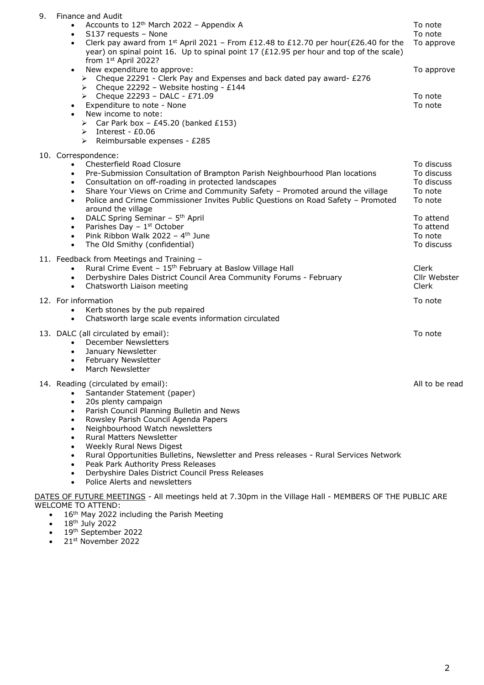| Finance and Audit<br>Accounts to 12 <sup>th</sup> March 2022 - Appendix A<br>S137 requests - None<br>$\bullet$<br>Clerk pay award from $1^{st}$ April 2021 - From £12.48 to £12.70 per hour(£26.40 for the<br>$\bullet$<br>year) on spinal point 16. Up to spinal point 17 (£12.95 per hour and top of the scale)                                                                                                                                                                                                                                                                                                                                                                | To note<br>To note<br>To approve                                                                                |
|----------------------------------------------------------------------------------------------------------------------------------------------------------------------------------------------------------------------------------------------------------------------------------------------------------------------------------------------------------------------------------------------------------------------------------------------------------------------------------------------------------------------------------------------------------------------------------------------------------------------------------------------------------------------------------|-----------------------------------------------------------------------------------------------------------------|
| New expenditure to approve:<br>$\bullet$<br>$\triangleright$ Cheque 22291 - Clerk Pay and Expenses and back dated pay award- £276<br>Example 22292 - Website hosting - £144<br>Example 22293 - DALC - £71.09<br>Expenditure to note - None<br>$\bullet$<br>New income to note:<br>$\bullet$<br>> Car Park box - £45.20 (banked £153)<br>$\triangleright$ Interest - £0.06<br>$\triangleright$ Reimbursable expenses - £285                                                                                                                                                                                                                                                       | To approve<br>To note<br>To note                                                                                |
| 10. Correspondence:<br>Chesterfield Road Closure<br>$\bullet$<br>Pre-Submission Consultation of Brampton Parish Neighbourhood Plan locations<br>$\bullet$<br>Consultation on off-roading in protected landscapes<br>$\bullet$<br>Share Your Views on Crime and Community Safety - Promoted around the village<br>$\bullet$<br>Police and Crime Commissioner Invites Public Questions on Road Safety - Promoted<br>$\bullet$<br>around the village<br>DALC Spring Seminar - 5 <sup>th</sup> April<br>$\bullet$<br>Parishes Day $-1$ <sup>st</sup> October<br>$\bullet$<br>Pink Ribbon Walk 2022 - 4 <sup>th</sup> June<br>$\bullet$<br>The Old Smithy (confidential)<br>$\bullet$ | To discuss<br>To discuss<br>To discuss<br>To note<br>To note<br>To attend<br>To attend<br>To note<br>To discuss |
| 11. Feedback from Meetings and Training -<br>Rural Crime Event - 15 <sup>th</sup> February at Baslow Village Hall<br>Derbyshire Dales District Council Area Community Forums - February<br>$\bullet$<br>Chatsworth Liaison meeting<br>$\bullet$                                                                                                                                                                                                                                                                                                                                                                                                                                  | Clerk<br>Cllr Webster<br>Clerk                                                                                  |
| 12. For information<br>Kerb stones by the pub repaired<br>$\bullet$<br>Chatsworth large scale events information circulated<br>$\bullet$                                                                                                                                                                                                                                                                                                                                                                                                                                                                                                                                         | To note                                                                                                         |
| 13. DALC (all circulated by email):<br><b>December Newsletters</b><br>$\bullet$<br>January Newsletter<br>$\bullet$<br>February Newsletter<br>$\bullet$<br>March Newsletter<br>$\bullet$                                                                                                                                                                                                                                                                                                                                                                                                                                                                                          | To note                                                                                                         |
| 14. Reading (circulated by email):<br>Santander Statement (paper)<br>20s plenty campaign<br>$\bullet$<br>Parish Council Planning Bulletin and News<br>$\bullet$<br>Rowsley Parish Council Agenda Papers<br>Neighbourhood Watch newsletters<br>Rural Matters Newsletter<br><b>Weekly Rural News Digest</b><br>$\bullet$<br>Rural Opportunities Bulletins, Newsletter and Press releases - Rural Services Network<br>٠<br>Peak Park Authority Press Releases<br>Derbyshire Dales District Council Press Releases<br>٠<br>Police Alerts and newsletters<br>$\bullet$<br>DATES OF FUTURE MEETINGS - All meetings held at 7.30pm in the Village Hall - MEMBERS OF THE PUBLIC ARE      | All to be read                                                                                                  |
|                                                                                                                                                                                                                                                                                                                                                                                                                                                                                                                                                                                                                                                                                  | from 1st April 2022?                                                                                            |

- WELCOME TO ATTEND:
	- 16<sup>th</sup> May 2022 including the Parish Meeting
	- 18th July 2022
	- 19<sup>th</sup> September 2022
	- $\bullet$  21st November 2022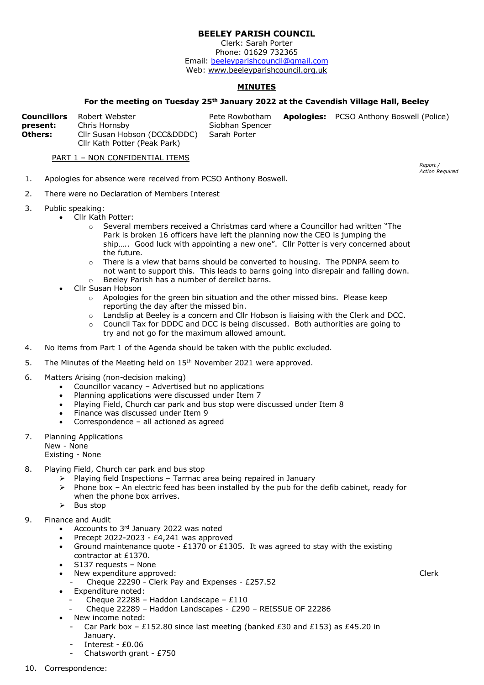# **BEELEY PARISH COUNCIL**

Clerk: Sarah Porter Phone: 01629 732365 Email: beeleyparishcouncil@gmail.com Web:<www.beeleyparishcouncil.org.uk>

## **MINUTES**

#### **For the meeting on Tuesday 25th January 2022 at the Cavendish Village Hall, Beeley**

|          | <b>Councillors</b> Robert Webster | Pete Rowbotham  | <b>Apologies:</b> PCSO Anthony Boswell (Police) |
|----------|-----------------------------------|-----------------|-------------------------------------------------|
| present: | Chris Hornsby                     | Siobhan Spencer |                                                 |
| Others:  | Cllr Susan Hobson (DCC&DDDC)      | Sarah Porter    |                                                 |
|          | Cllr Kath Potter (Peak Park)      |                 |                                                 |

PART 1 – NON CONFIDENTIAL ITEMS

- 1. Apologies for absence were received from PCSO Anthony Boswell.
- 2. There were no Declaration of Members Interest
- 3. Public speaking:
	- Cllr Kath Potter:
		- o Several members received a Christmas card where a Councillor had written "The Park is broken 16 officers have left the planning now the CEO is jumping the ship….. Good luck with appointing a new one". Cllr Potter is very concerned about the future.
		- $\circ$  There is a view that barns should be converted to housing. The PDNPA seem to not want to support this. This leads to barns going into disrepair and falling down.
		- o Beeley Parish has a number of derelict barns.
	- Cllr Susan Hobson
		- o Apologies for the green bin situation and the other missed bins. Please keep reporting the day after the missed bin.
		- o Landslip at Beeley is a concern and Cllr Hobson is liaising with the Clerk and DCC.
		- $\circ$  Council Tax for DDDC and DCC is being discussed. Both authorities are going to try and not go for the maximum allowed amount.
- 4. No items from Part 1 of the Agenda should be taken with the public excluded.
- 5. The Minutes of the Meeting held on  $15<sup>th</sup>$  November 2021 were approved.
- 6. Matters Arising (non-decision making)
	- Councillor vacancy Advertised but no applications
	- Planning applications were discussed under Item 7
	- Playing Field, Church car park and bus stop were discussed under Item 8
	- Finance was discussed under Item 9
	- Correspondence all actioned as agreed
- 7. Planning Applications
	- New None
	- Existing None
- 8. Playing Field, Church car park and bus stop
	- Playing field Inspections Tarmac area being repaired in January<br>
	Phone box An electric feed has been installed by the nub for the
	- Phone box An electric feed has been installed by the pub for the defib cabinet, ready for when the phone box arrives.
	- $\triangleright$  Bus stop
- 9. Finance and Audit
	- Accounts to 3<sup>rd</sup> January 2022 was noted
	- Precept 2022-2023 £4,241 was approved
	- Ground maintenance quote £1370 or £1305. It was agreed to stay with the existing contractor at £1370.
	- S137 requests None
	- New expenditure approved:
		- Cheque 22290 Clerk Pay and Expenses £257.52
	- Expenditure noted:
		- Cheque 22288 Haddon Landscape £110
		- Cheque 22289 Haddon Landscapes £290 REISSUE OF 22286
	- New income noted:
		- Car Park box £152.80 since last meeting (banked £30 and £153) as £45.20 in January.
		- Interest £0.06
		- Chatsworth grant £750

*Report /* 

Clerk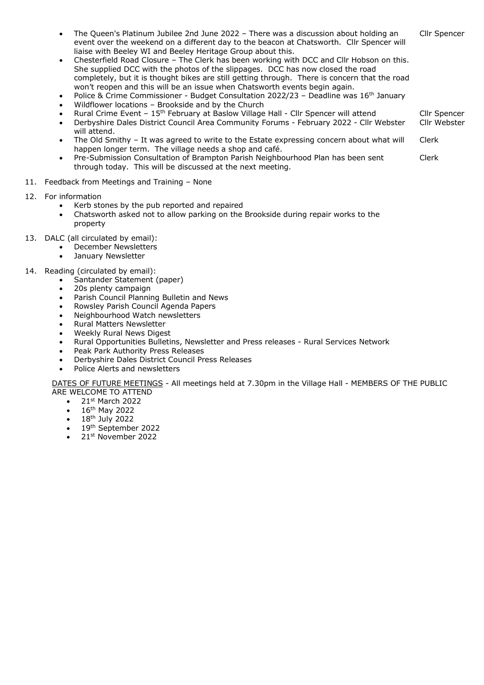- The Queen's Platinum Jubilee 2nd June 2022 There was a discussion about holding an event over the weekend on a different day to the beacon at Chatsworth. Cllr Spencer will liaise with Beeley WI and Beeley Heritage Group about this. Cllr Spencer
- Chesterfield Road Closure The Clerk has been working with DCC and Cllr Hobson on this. She supplied DCC with the photos of the slippages. DCC has now closed the road completely, but it is thought bikes are still getting through. There is concern that the road won't reopen and this will be an issue when Chatsworth events begin again.
- Police & Crime Commissioner Budget Consultation 2022/23 Deadline was 16<sup>th</sup> January
- Wildflower locations Brookside and by the Church
- Rural Crime Event 15th February at Baslow Village Hall Cllr Spencer will attend
- Derbyshire Dales District Council Area Community Forums February 2022 Cllr Webster will attend. Cllr Webster

Cllr Spencer

- The Old Smithy It was agreed to write to the Estate expressing concern about what will happen longer term. The village needs a shop and café. Clerk
- Pre-Submission Consultation of Brampton Parish Neighbourhood Plan has been sent through today. This will be discussed at the next meeting. Clerk
- 11. Feedback from Meetings and Training None
- 12. For information
	- Kerb stones by the pub reported and repaired
	- Chatsworth asked not to allow parking on the Brookside during repair works to the property
- 13. DALC (all circulated by email):
	- December Newsletters
	- December<br>January Newsletter
- 14. Reading (circulated by email):
	- Santander Statement (paper)
		- 20s plenty campaign
	- Parish Council Planning Bulletin and News
	- Rowsley Parish Council Agenda Papers
	- Neighbourhood Watch newsletters
	- Rural Matters Newsletter
	- Weekly Rural News Digest
	- Rural Opportunities Bulletins, Newsletter and Press releases Rural Services Network
	- Peak Park Authority Press Releases
	- Derbyshire Dales District Council Press Releases
	- Police Alerts and newsletters

DATES OF FUTURE MEETINGS - All meetings held at 7.30pm in the Village Hall - MEMBERS OF THE PUBLIC ARE WELCOME TO ATTEND

- $\bullet$  21st March 2022
- 16th May 2022
- 18th July 2022
- 19<sup>th</sup> September 2022
- 21st November 2022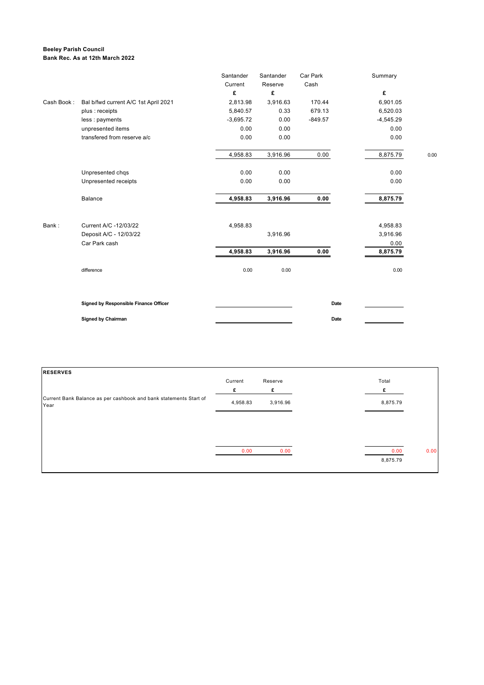#### **Beeley Parish Council Bank Rec. As at 12th March 2022**

|            |                                       | Santander   | Santander | Car Park  | Summary     |      |
|------------|---------------------------------------|-------------|-----------|-----------|-------------|------|
|            |                                       | Current     | Reserve   | Cash      |             |      |
|            |                                       | £           | £         |           | £           |      |
| Cash Book: | Bal b/fwd current A/C 1st April 2021  | 2,813.98    | 3,916.63  | 170.44    | 6,901.05    |      |
|            | plus : receipts                       | 5,840.57    | 0.33      | 679.13    | 6,520.03    |      |
|            | less : payments                       | $-3,695.72$ | 0.00      | $-849.57$ | $-4,545.29$ |      |
|            | unpresented items                     | 0.00        | 0.00      |           | 0.00        |      |
|            | transfered from reserve a/c           | 0.00        | 0.00      |           | 0.00        |      |
|            |                                       | 4,958.83    | 3,916.96  | 0.00      | 8,875.79    | 0.00 |
|            | Unpresented chqs                      | 0.00        | 0.00      |           | 0.00        |      |
|            | Unpresented receipts                  | 0.00        | 0.00      |           | 0.00        |      |
|            | Balance                               | 4,958.83    | 3,916.96  | 0.00      | 8,875.79    |      |
| Bank:      | Current A/C -12/03/22                 | 4,958.83    |           |           | 4,958.83    |      |
|            | Deposit A/C - 12/03/22                |             | 3,916.96  |           | 3,916.96    |      |
|            | Car Park cash                         |             |           |           | 0.00        |      |
|            |                                       | 4,958.83    | 3,916.96  | 0.00      | 8,875.79    |      |
|            | difference                            | 0.00        | 0.00      |           | 0.00        |      |
|            | Signed by Responsible Finance Officer |             |           | Date      |             |      |
|            | <b>Signed by Chairman</b>             |             |           | Date      |             |      |

| <b>RESERVES</b>                                                           |          |          |          |      |
|---------------------------------------------------------------------------|----------|----------|----------|------|
|                                                                           | Current  | Reserve  | Total    |      |
|                                                                           | £        | £        |          |      |
| Current Bank Balance as per cashbook and bank statements Start of<br>Year | 4,958.83 | 3,916.96 | 8,875.79 |      |
|                                                                           |          |          |          |      |
|                                                                           |          |          |          |      |
|                                                                           | 0.00     | 0.00     | 0.00     | 0.00 |
|                                                                           |          |          | 8,875.79 |      |